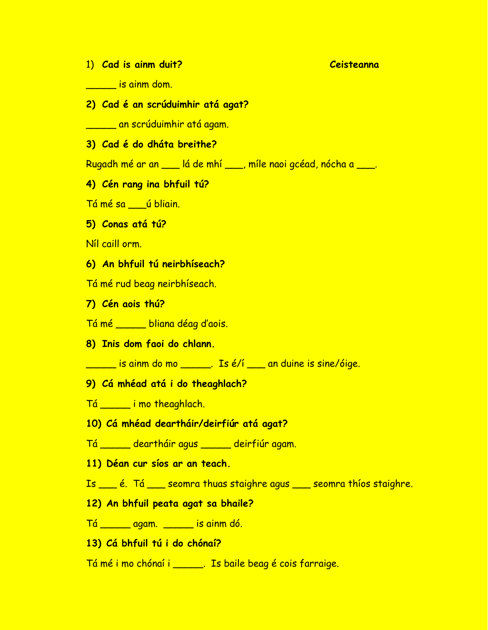#### 1) **Cad is ainm duit? Ceisteanna**

\_\_\_\_\_ is ainm dom.

**2) Cad é an scrúduimhir atá agat?**

\_\_\_\_\_ an scrúduimhir atá agam.

**3) Cad é do dháta breithe?**

Rugadh mé ar an \_\_\_ lá de mhí \_\_\_, míle naoi gcéad, nócha a \_\_\_.

**4) Cén rang ina bhfuil tú?**

Tá mé sa \_\_\_ú bliain.

**5) Conas atá tú?**

Níl caill orm.

- **6) An bhfuil tú neirbhíseach?**
- Tá mé rud beag neirbhíseach.
- **7) Cén aois thú?**
- Tá mé \_\_\_\_\_ bliana déag d'aois.
- **8) Inis dom faoi do chlann.**

\_\_\_\_\_ is ainm do mo \_\_\_\_\_. Is é/í \_\_\_ an duine is sine/óige.

**9) Cá mhéad atá i do theaghlach?**

Tá \_\_\_\_\_ i mo theaghlach.

- **10) Cá mhéad deartháir/deirfiúr atá agat?**
- Tá \_\_\_\_\_ deartháir agus \_\_\_\_\_ deirfiúr agam.
- **11) Déan cur síos ar an teach.**

Is \_\_\_ é. Tá \_\_\_ seomra thuas staighre agus \_\_\_ seomra thíos staighre.

- **12) An bhfuil peata agat sa bhaile?**
- Tá \_\_\_\_\_ agam. \_\_\_\_\_ is ainm dó.
- **13) Cá bhfuil tú i do chónaí?**
- Tá mé i mo chónaí i \_\_\_\_\_. Is baile beag é cois farraige.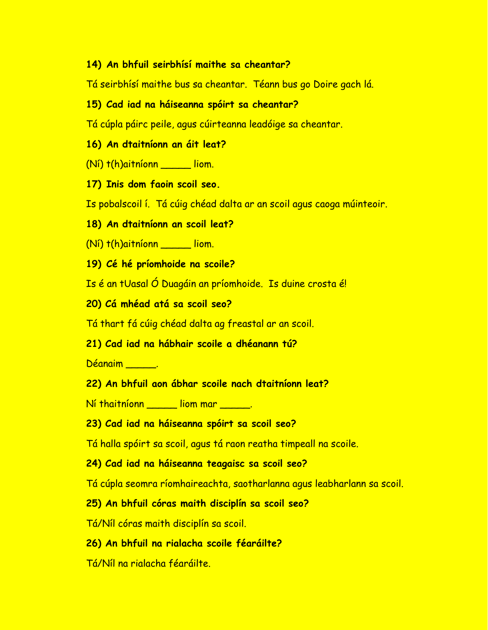# **14) An bhfuil seirbhísí maithe sa cheantar?**

Tá seirbhísí maithe bus sa cheantar. Téann bus go Doire gach lá.

## **15) Cad iad na háiseanna spóirt sa cheantar?**

Tá cúpla páirc peile, agus cúirteanna leadóige sa cheantar.

## **16) An dtaitníonn an áit leat?**

- (Ní) t(h)aitníonn \_\_\_\_\_ liom.
- **17) Inis dom faoin scoil seo.**

Is pobalscoil í. Tá cúig chéad dalta ar an scoil agus caoga múinteoir.

## **18) An dtaitníonn an scoil leat?**

(Ní) t(h)aitníonn \_\_\_\_\_ liom.

**19) Cé hé príomhoide na scoile?**

Is é an tUasal Ó Duagáin an príomhoide. Is duine crosta é!

## **20) Cá mhéad atá sa scoil seo?**

Tá thart fá cúig chéad dalta ag freastal ar an scoil.

# **21) Cad iad na hábhair scoile a dhéanann tú?**

Déanaim \_\_\_\_\_.

# **22) An bhfuil aon ábhar scoile nach dtaitníonn leat?**

Ní thaitníonn \_\_\_\_\_\_ liom mar \_\_\_\_\_\_.

# **23) Cad iad na háiseanna spóirt sa scoil seo?**

Tá halla spóirt sa scoil, agus tá raon reatha timpeall na scoile.

#### **24) Cad iad na háiseanna teagaisc sa scoil seo?**

Tá cúpla seomra ríomhaireachta, saotharlanna agus leabharlann sa scoil.

# **25) An bhfuil córas maith disciplín sa scoil seo?**

Tá/Níl córas maith disciplín sa scoil.

# **26) An bhfuil na rialacha scoile féaráilte?**

Tá/Níl na rialacha féaráilte.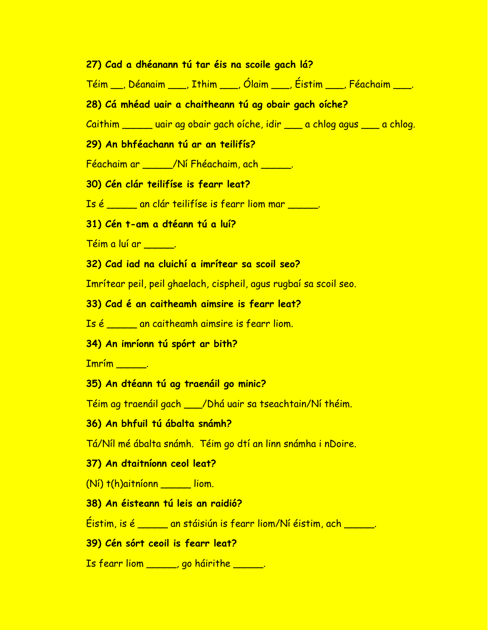#### **27) Cad a dhéanann tú tar éis na scoile gach lá?**

Téim \_\_, Déanaim \_\_\_, Ithim \_\_\_, Ólaim \_\_\_, Éistim \_\_\_, Féachaim \_\_\_.

## **28) Cá mhéad uair a chaitheann tú ag obair gach oíche?**

Caithim \_\_\_\_\_ uair ag obair gach oíche, idir \_\_\_ a chlog agus \_\_\_ a chlog.

#### **29) An bhféachann tú ar an teilifís?**

Féachaim ar \_\_\_\_\_/Ní Fhéachaim, ach \_\_\_\_\_.

## **30) Cén clár teilifíse is fearr leat?**

Is é \_\_\_\_\_ an clár teilifíse is fearr liom mar \_\_\_\_\_.

#### **31) Cén t-am a dtéann tú a luí?**

Téim a luí ar \_\_\_\_\_.

#### **32) Cad iad na cluichí a imrítear sa scoil seo?**

Imrítear peil, peil ghaelach, cispheil, agus rugbaí sa scoil seo.

#### **33) Cad é an caitheamh aimsire is fearr leat?**

Is é \_\_\_\_\_ an caitheamh aimsire is fearr liom.

#### **34) An imríonn tú spórt ar bith?**

Imrím \_\_\_\_\_.

## **35) An dtéann tú ag traenáil go minic?**

Téim ag traenáil gach \_\_\_/Dhá uair sa tseachtain/Ní théim.

#### **36) An bhfuil tú ábalta snámh?**

Tá/Níl mé ábalta snámh. Téim go dtí an linn snámha i nDoire.

#### **37) An dtaitníonn ceol leat?**

(Ní) t(h)aitníonn \_\_\_\_\_ liom.

# **38) An éisteann tú leis an raidió?**

Éistim, is é \_\_\_\_\_ an stáisiún is fearr liom/Ní éistim, ach \_\_\_\_\_.

## **39) Cén sórt ceoil is fearr leat?**

Is fearr liom \_\_\_\_\_, go háirithe \_\_\_\_\_.